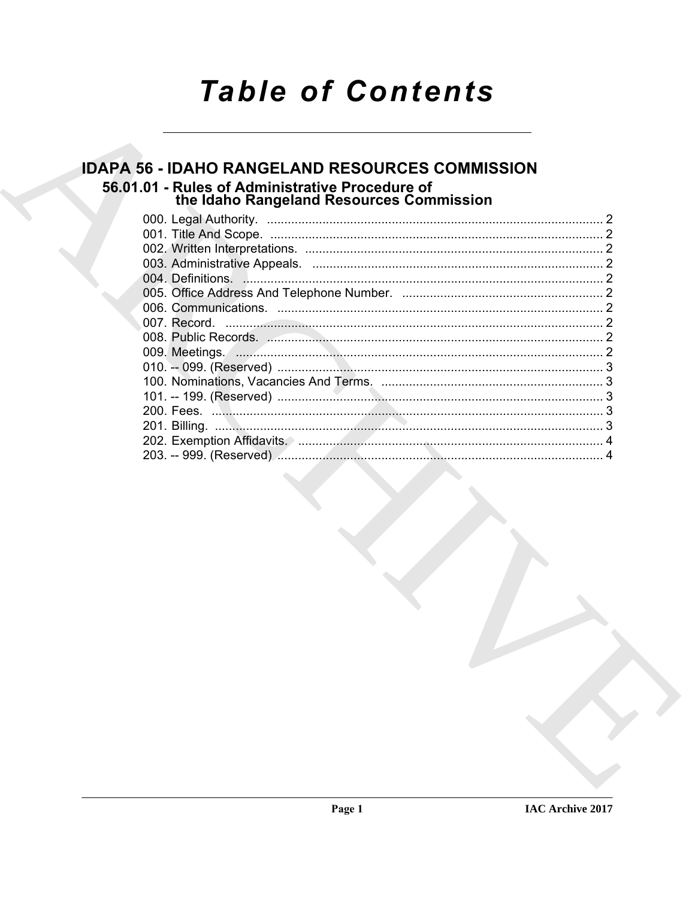# **Table of Contents**

# **IDAPA 56 - IDAHO RANGELAND RESOURCES COMMISSION** 56.01.01 - Rules of Administrative Procedure of<br>the Idaho Rangeland Resources Commission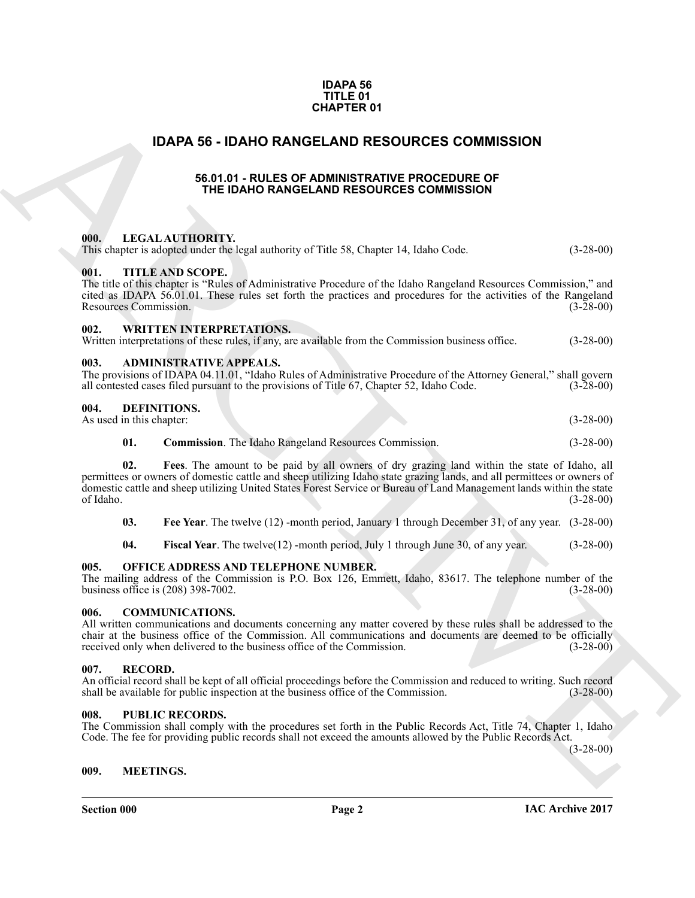#### **IDAPA 56 TITLE 01 CHAPTER 01**

## <span id="page-1-0"></span>**IDAPA 56 - IDAHO RANGELAND RESOURCES COMMISSION**

#### **56.01.01 - RULES OF ADMINISTRATIVE PROCEDURE OF THE IDAHO RANGELAND RESOURCES COMMISSION**

### <span id="page-1-13"></span><span id="page-1-5"></span><span id="page-1-4"></span><span id="page-1-3"></span><span id="page-1-2"></span><span id="page-1-1"></span>**000. LEGAL AUTHORITY.**

| <b>CHAPTER 01</b>                                                                                                                                                                                                                                                                                                                                                  |             |  |  |
|--------------------------------------------------------------------------------------------------------------------------------------------------------------------------------------------------------------------------------------------------------------------------------------------------------------------------------------------------------------------|-------------|--|--|
| <b>IDAPA 56 - IDAHO RANGELAND RESOURCES COMMISSION</b>                                                                                                                                                                                                                                                                                                             |             |  |  |
| 56.01.01 - RULES OF ADMINISTRATIVE PROCEDURE OF<br>THE IDAHO RANGELAND RESOURCES COMMISSION                                                                                                                                                                                                                                                                        |             |  |  |
| 000.<br><b>LEGAL AUTHORITY.</b><br>This chapter is adopted under the legal authority of Title 58, Chapter 14, Idaho Code.                                                                                                                                                                                                                                          | $(3-28-00)$ |  |  |
| 001.<br><b>TITLE AND SCOPE.</b><br>The title of this chapter is "Rules of Administrative Procedure of the Idaho Rangeland Resources Commission," and<br>cited as IDAPA 56.01.01. These rules set forth the practices and procedures for the activities of the Rangeland<br>Resources Commission.                                                                   | $(3-28-00)$ |  |  |
| <b>WRITTEN INTERPRETATIONS.</b><br>002.<br>Written interpretations of these rules, if any, are available from the Commission business office.                                                                                                                                                                                                                      | $(3-28-00)$ |  |  |
| <b>ADMINISTRATIVE APPEALS.</b><br>003.<br>The provisions of IDAPA 04.11.01, "Idaho Rules of Administrative Procedure of the Attorney General," shall govern<br>all contested cases filed pursuant to the provisions of Title 67, Chapter 52, Idaho Code.                                                                                                           | $(3-28-00)$ |  |  |
| 004.<br><b>DEFINITIONS.</b><br>As used in this chapter:                                                                                                                                                                                                                                                                                                            | $(3-28-00)$ |  |  |
| 01.<br><b>Commission</b> . The Idaho Rangeland Resources Commission.                                                                                                                                                                                                                                                                                               | $(3-28-00)$ |  |  |
| Fees. The amount to be paid by all owners of dry grazing land within the state of Idaho, all<br>02.<br>permittees or owners of domestic cattle and sheep utilizing Idaho state grazing lands, and all permittees or owners of<br>domestic cattle and sheep utilizing United States Forest Service or Bureau of Land Management lands within the state<br>of Idaho. | $(3-28-00)$ |  |  |
| Fee Year. The twelve (12) -month period, January 1 through December 31, of any year. (3-28-00)<br>03.                                                                                                                                                                                                                                                              |             |  |  |
| 04.<br>Fiscal Year. The twelve(12) -month period, July 1 through June 30, of any year.                                                                                                                                                                                                                                                                             | $(3-28-00)$ |  |  |
| OFFICE ADDRESS AND TELEPHONE NUMBER.<br>005.<br>The mailing address of the Commission is P.O. Box 126, Emmett, Idaho, 83617. The telephone number of the<br>business office is $(208)$ 398-7002.                                                                                                                                                                   | $(3-28-00)$ |  |  |
| <b>COMMUNICATIONS.</b><br>006.<br>All written communications and documents concerning any matter covered by these rules shall be addressed to the<br>chair at the business office of the Commission. All communications and documents are deemed to be officially<br>received only when delivered to the business office of the Commission.                        | $(3-28-00)$ |  |  |
| 007.<br><b>RECORD.</b><br>An official record shall be kept of all official proceedings before the Commission and reduced to writing. Such record<br>shall be available for public inspection at the business office of the Commission.                                                                                                                             | $(3-28-00)$ |  |  |
| 008.<br><b>PUBLIC RECORDS.</b><br>The Commission shall comply with the procedures set forth in the Public Records Act, Title 74, Chapter 1, Idaho<br>Code. The fee for providing public records shall not exceed the amounts allowed by the Public Records Act.                                                                                                    | $(3-28-00)$ |  |  |
| 009.<br><b>MEETINGS.</b>                                                                                                                                                                                                                                                                                                                                           |             |  |  |

#### <span id="page-1-17"></span><span id="page-1-16"></span><span id="page-1-15"></span><span id="page-1-14"></span><span id="page-1-7"></span><span id="page-1-6"></span>**005. OFFICE ADDRESS AND TELEPHONE NUMBER.**

#### <span id="page-1-12"></span><span id="page-1-8"></span>**006. COMMUNICATIONS.**

#### <span id="page-1-9"></span>**007. RECORD.**

#### <span id="page-1-19"></span><span id="page-1-10"></span>**008. PUBLIC RECORDS.**

#### <span id="page-1-18"></span><span id="page-1-11"></span>**009. MEETINGS.**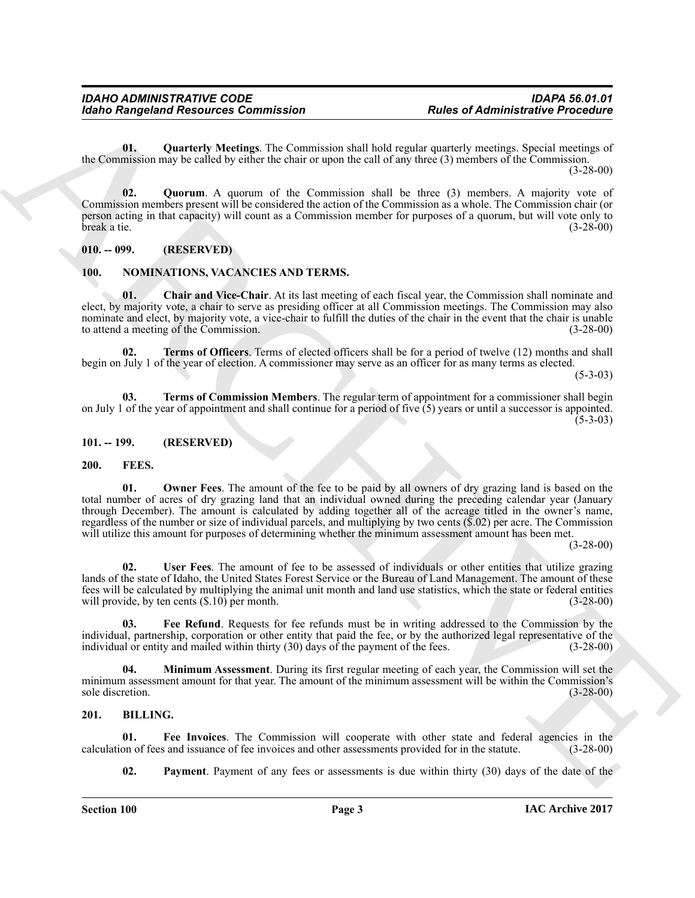<span id="page-2-13"></span>**01. Quarterly Meetings**. The Commission shall hold regular quarterly meetings. Special meetings of the Commission may be called by either the chair or upon the call of any three (3) members of the Commission.

(3-28-00)

<span id="page-2-14"></span>**02. Quorum**. A quorum of the Commission shall be three (3) members. A majority vote of Commission members present will be considered the action of the Commission as a whole. The Commission chair (or person acting in that capacity) will count as a Commission member for purposes of a quorum, but will vote only to break a tie. (3-28-00) break a tie. (3-28-00)

<span id="page-2-0"></span>**010. -- 099. (RESERVED)**

#### <span id="page-2-16"></span><span id="page-2-15"></span><span id="page-2-1"></span>**100. NOMINATIONS, VACANCIES AND TERMS.**

**01. Chair and Vice-Chair**. At its last meeting of each fiscal year, the Commission shall nominate and elect, by majority vote, a chair to serve as presiding officer at all Commission meetings. The Commission may also nominate and elect, by majority vote, a vice-chair to fulfill the duties of the chair in the event that the chair is unable<br>to attend a meeting of the Commission. to attend a meeting of the Commission.

<span id="page-2-18"></span>**02. Terms of Officers**. Terms of elected officers shall be for a period of twelve (12) months and shall begin on July 1 of the year of election. A commissioner may serve as an officer for as many terms as elected.

 $(5-3-03)$ 

<span id="page-2-17"></span>**03. Terms of Commission Members**. The regular term of appointment for a commissioner shall begin on July 1 of the year of appointment and shall continue for a period of five  $(5)$  years or until a successor is appointed.  $(5-3-03)$ 

<span id="page-2-2"></span>**101. -- 199. (RESERVED)**

#### <span id="page-2-11"></span><span id="page-2-8"></span><span id="page-2-3"></span>**200. FEES.**

Radio Rampshard Resources Commission<br>
University Meministerine Proceeding<br>
The Commission and Solution and Solution and Solution and Solution and Solution and Solution and Solution and Solution and Solution and Solution a **01. Owner Fees**. The amount of the fee to be paid by all owners of dry grazing land is based on the total number of acres of dry grazing land that an individual owned during the preceding calendar year (January through December). The amount is calculated by adding together all of the acreage titled in the owner's name, regardless of the number or size of individual parcels, and multiplying by two cents (\$.02) per acre. The Commission will utilize this amount for purposes of determining whether the minimum assessment amount has been met.

(3-28-00)

<span id="page-2-12"></span>**02. User Fees**. The amount of fee to be assessed of individuals or other entities that utilize grazing lands of the state of Idaho, the United States Forest Service or the Bureau of Land Management. The amount of these fees will be calculated by multiplying the animal unit month and land use statistics, which the state or federal entities will provide, by ten cents (\$.10) per month. (3-28-00)

<span id="page-2-9"></span>**03. Fee Refund**. Requests for fee refunds must be in writing addressed to the Commission by the individual, partnership, corporation or other entity that paid the fee, or by the authorized legal representative of the individual or entity and mailed within thirty (30) days of the payment of the fees. (3-28-00) individual or entity and mailed within thirty  $(30)$  days of the payment of the fees.

<span id="page-2-10"></span>**04. Minimum Assessment**. During its first regular meeting of each year, the Commission will set the minimum assessment amount for that year. The amount of the minimum assessment will be within the Commission's sole discretion. (3-28-00) sole discretion. (3-28-00)

### <span id="page-2-5"></span><span id="page-2-4"></span>**201. BILLING.**

**01.** Fee Invoices. The Commission will cooperate with other state and federal agencies in the on of fees and issuance of fee invoices and other assessments provided for in the statute. (3-28-00) calculation of fees and issuance of fee invoices and other assessments provided for in the statute.

<span id="page-2-7"></span><span id="page-2-6"></span>**02.** Payment. Payment of any fees or assessments is due within thirty (30) days of the date of the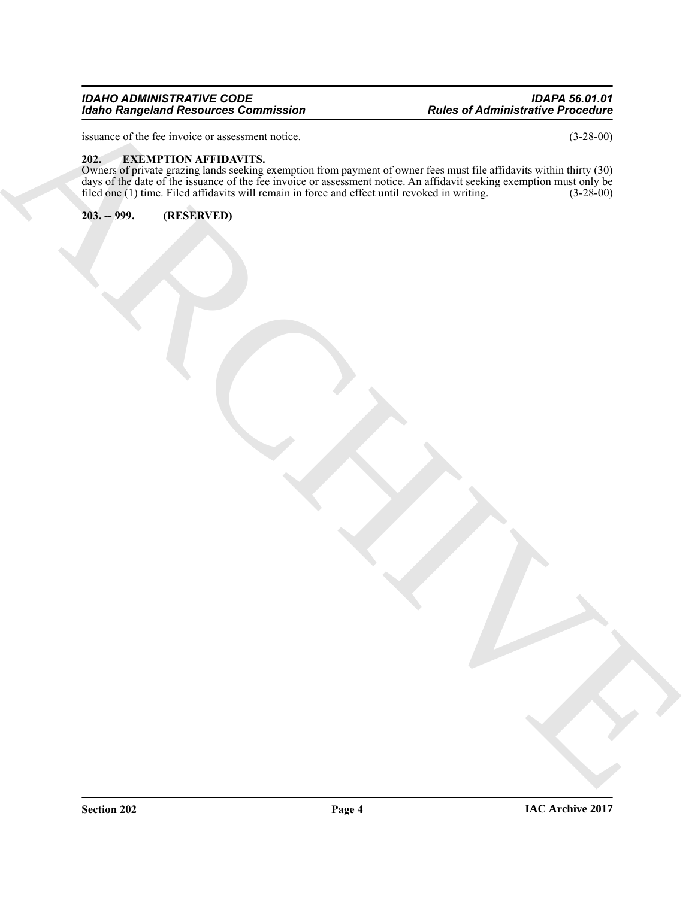#### *IDAHO ADMINISTRATIVE CODE IDAPA 56.01.01 Idaho Rangeland Resources Commission*

issuance of the fee invoice or assessment notice. (3-28-00)

### <span id="page-3-0"></span>**202. EXEMPTION AFFIDAVITS.**

Reader Principal Resources Commission<br>
Hotel of Administrative in Contract Inc.<br>
Hotel December 2007<br>
Hotel of Administrative inc.<br>
ARCHIVED,<br>
ARCHIVED,<br>
ARCHIVED,<br>
ARCHIVED,<br>
ARCHIVED,<br>
ARCHIVED,<br>
ARCHIVED,<br>
ARCHIVED,<br>
AR Owners of private grazing lands seeking exemption from payment of owner fees must file affidavits within thirty (30) days of the date of the issuance of the fee invoice or assessment notice. An affidavit seeking exemption must only be filed one (1) time. Filed affidavits will remain in force and effect until revoked in writing. (3-28-00)

<span id="page-3-1"></span>**203. -- 999. (RESERVED)**